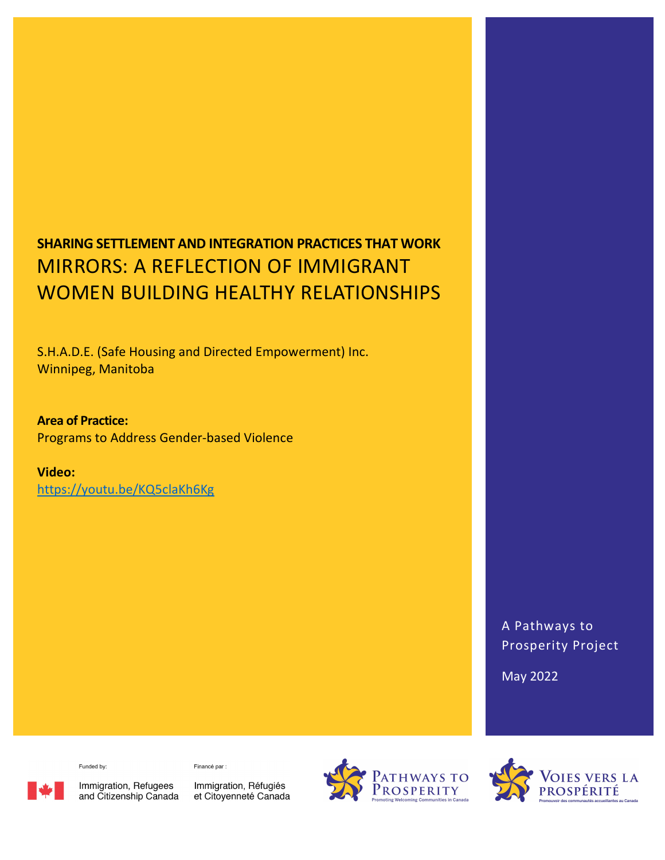# SHARING SETTLEMENT AND INTEGRATION PRACTICES THAT WORK MIRRORS: A REFLECTION OF IMMIGRANT WOMEN BUILDING HEALTHY RELATIONSHIPS

S.H.A.D.E. (Safe Housing and Directed Empowerment) Inc. Winnipeg, Manitoba

Area of Practice: Programs to Address Gender-based Violence

Video:

https://youtu.be/KQ5claKh6Kg

A Pathways to Prosperity Project

May 2022

Funded by:

Financé par :

Immigration, Refugees<br>and Citizenship Canada

Immigration, Réfugiés et Citoyenneté Canada



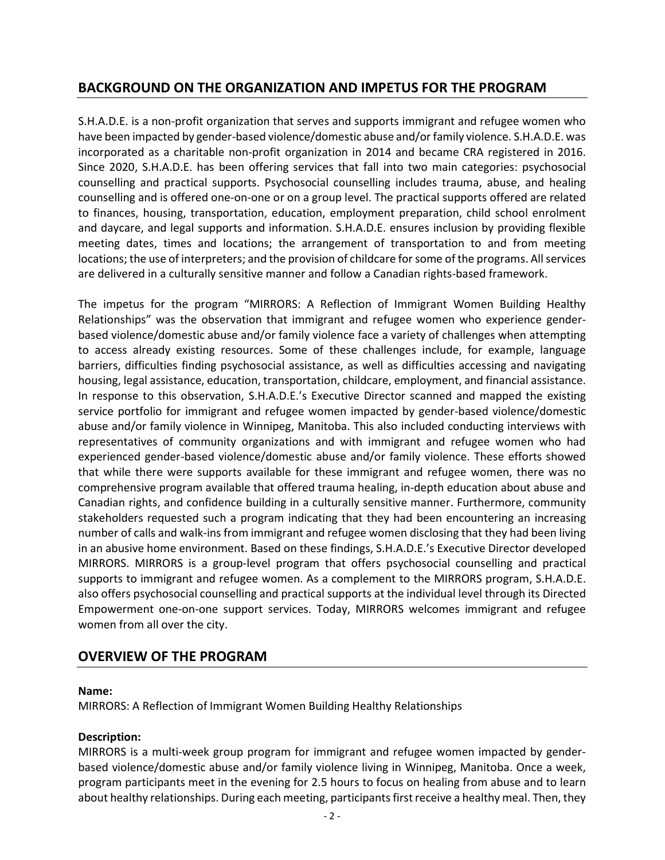# BACKGROUND ON THE ORGANIZATION AND IMPETUS FOR THE PROGRAM

S.H.A.D.E. is a non-profit organization that serves and supports immigrant and refugee women who have been impacted by gender-based violence/domestic abuse and/or family violence. S.H.A.D.E. was incorporated as a charitable non-profit organization in 2014 and became CRA registered in 2016. Since 2020, S.H.A.D.E. has been offering services that fall into two main categories: psychosocial counselling and practical supports. Psychosocial counselling includes trauma, abuse, and healing counselling and is offered one-on-one or on a group level. The practical supports offered are related to finances, housing, transportation, education, employment preparation, child school enrolment and daycare, and legal supports and information. S.H.A.D.E. ensures inclusion by providing flexible meeting dates, times and locations; the arrangement of transportation to and from meeting locations; the use of interpreters; and the provision of childcare for some of the programs. All services are delivered in a culturally sensitive manner and follow a Canadian rights-based framework.

The impetus for the program "MIRRORS: A Reflection of Immigrant Women Building Healthy Relationships" was the observation that immigrant and refugee women who experience genderbased violence/domestic abuse and/or family violence face a variety of challenges when attempting to access already existing resources. Some of these challenges include, for example, language barriers, difficulties finding psychosocial assistance, as well as difficulties accessing and navigating housing, legal assistance, education, transportation, childcare, employment, and financial assistance. In response to this observation, S.H.A.D.E.'s Executive Director scanned and mapped the existing service portfolio for immigrant and refugee women impacted by gender-based violence/domestic abuse and/or family violence in Winnipeg, Manitoba. This also included conducting interviews with representatives of community organizations and with immigrant and refugee women who had experienced gender-based violence/domestic abuse and/or family violence. These efforts showed that while there were supports available for these immigrant and refugee women, there was no comprehensive program available that offered trauma healing, in-depth education about abuse and Canadian rights, and confidence building in a culturally sensitive manner. Furthermore, community stakeholders requested such a program indicating that they had been encountering an increasing number of calls and walk-ins from immigrant and refugee women disclosing that they had been living in an abusive home environment. Based on these findings, S.H.A.D.E.'s Executive Director developed MIRRORS. MIRRORS is a group-level program that offers psychosocial counselling and practical supports to immigrant and refugee women. As a complement to the MIRRORS program, S.H.A.D.E. also offers psychosocial counselling and practical supports at the individual level through its Directed Empowerment one-on-one support services. Today, MIRRORS welcomes immigrant and refugee women from all over the city.

# OVERVIEW OF THE PROGRAM

#### Name:

MIRRORS: A Reflection of Immigrant Women Building Healthy Relationships

## Description:

MIRRORS is a multi-week group program for immigrant and refugee women impacted by genderbased violence/domestic abuse and/or family violence living in Winnipeg, Manitoba. Once a week, program participants meet in the evening for 2.5 hours to focus on healing from abuse and to learn about healthy relationships. During each meeting, participants first receive a healthy meal. Then, they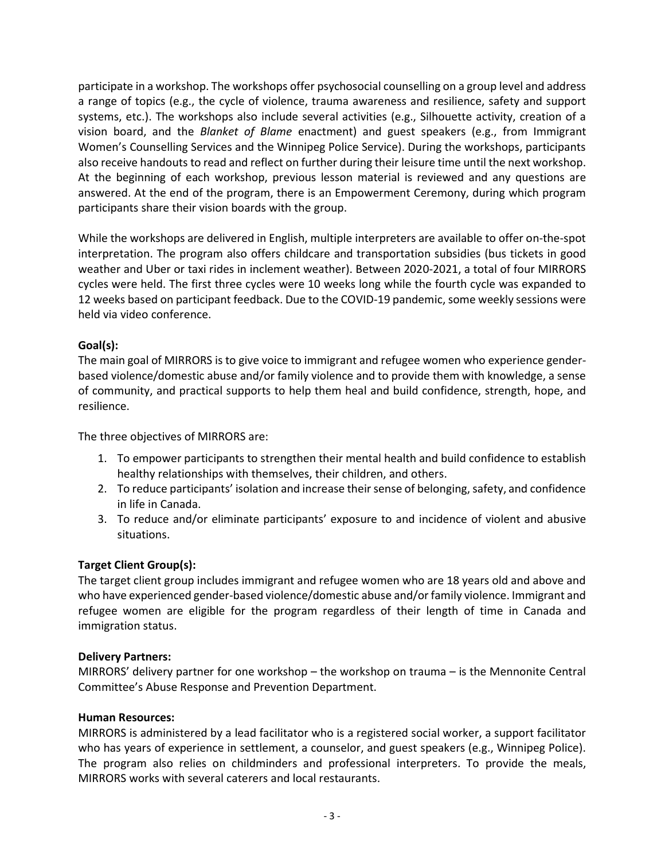participate in a workshop. The workshops offer psychosocial counselling on a group level and address a range of topics (e.g., the cycle of violence, trauma awareness and resilience, safety and support systems, etc.). The workshops also include several activities (e.g., Silhouette activity, creation of a vision board, and the *Blanket of Blame* enactment) and guest speakers (e.g., from Immigrant Women's Counselling Services and the Winnipeg Police Service). During the workshops, participants also receive handouts to read and reflect on further during their leisure time until the next workshop. At the beginning of each workshop, previous lesson material is reviewed and any questions are answered. At the end of the program, there is an Empowerment Ceremony, during which program participants share their vision boards with the group.

While the workshops are delivered in English, multiple interpreters are available to offer on-the-spot interpretation. The program also offers childcare and transportation subsidies (bus tickets in good weather and Uber or taxi rides in inclement weather). Between 2020-2021, a total of four MIRRORS cycles were held. The first three cycles were 10 weeks long while the fourth cycle was expanded to 12 weeks based on participant feedback. Due to the COVID-19 pandemic, some weekly sessions were held via video conference.

## Goal(s):

The main goal of MIRRORS is to give voice to immigrant and refugee women who experience genderbased violence/domestic abuse and/or family violence and to provide them with knowledge, a sense of community, and practical supports to help them heal and build confidence, strength, hope, and resilience.

The three objectives of MIRRORS are:

- 1. To empower participants to strengthen their mental health and build confidence to establish healthy relationships with themselves, their children, and others.
- 2. To reduce participants' isolation and increase their sense of belonging, safety, and confidence in life in Canada.
- 3. To reduce and/or eliminate participants' exposure to and incidence of violent and abusive situations.

## Target Client Group(s):

The target client group includes immigrant and refugee women who are 18 years old and above and who have experienced gender-based violence/domestic abuse and/or family violence. Immigrant and refugee women are eligible for the program regardless of their length of time in Canada and immigration status.

## Delivery Partners:

MIRRORS' delivery partner for one workshop – the workshop on trauma – is the Mennonite Central Committee's Abuse Response and Prevention Department.

#### Human Resources:

MIRRORS is administered by a lead facilitator who is a registered social worker, a support facilitator who has years of experience in settlement, a counselor, and guest speakers (e.g., Winnipeg Police). The program also relies on childminders and professional interpreters. To provide the meals, MIRRORS works with several caterers and local restaurants.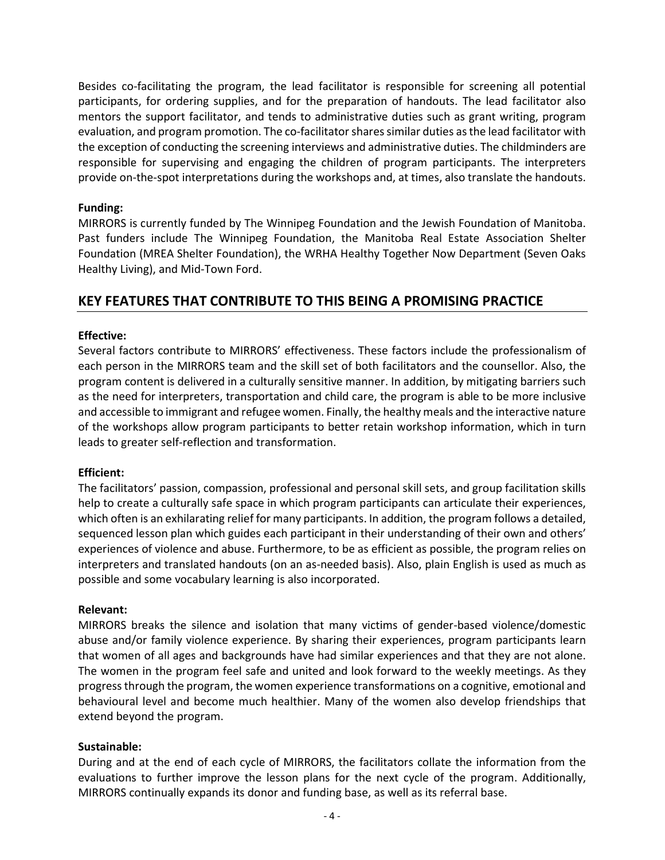Besides co-facilitating the program, the lead facilitator is responsible for screening all potential participants, for ordering supplies, and for the preparation of handouts. The lead facilitator also mentors the support facilitator, and tends to administrative duties such as grant writing, program evaluation, and program promotion. The co-facilitator shares similar duties as the lead facilitator with the exception of conducting the screening interviews and administrative duties. The childminders are responsible for supervising and engaging the children of program participants. The interpreters provide on-the-spot interpretations during the workshops and, at times, also translate the handouts.

#### Funding:

MIRRORS is currently funded by The Winnipeg Foundation and the Jewish Foundation of Manitoba. Past funders include The Winnipeg Foundation, the Manitoba Real Estate Association Shelter Foundation (MREA Shelter Foundation), the WRHA Healthy Together Now Department (Seven Oaks Healthy Living), and Mid-Town Ford.

## KEY FEATURES THAT CONTRIBUTE TO THIS BEING A PROMISING PRACTICE

#### Effective:

Several factors contribute to MIRRORS' effectiveness. These factors include the professionalism of each person in the MIRRORS team and the skill set of both facilitators and the counsellor. Also, the program content is delivered in a culturally sensitive manner. In addition, by mitigating barriers such as the need for interpreters, transportation and child care, the program is able to be more inclusive and accessible to immigrant and refugee women. Finally, the healthy meals and the interactive nature of the workshops allow program participants to better retain workshop information, which in turn leads to greater self-reflection and transformation.

#### Efficient:

The facilitators' passion, compassion, professional and personal skill sets, and group facilitation skills help to create a culturally safe space in which program participants can articulate their experiences, which often is an exhilarating relief for many participants. In addition, the program follows a detailed, sequenced lesson plan which guides each participant in their understanding of their own and others' experiences of violence and abuse. Furthermore, to be as efficient as possible, the program relies on interpreters and translated handouts (on an as-needed basis). Also, plain English is used as much as possible and some vocabulary learning is also incorporated.

#### Relevant:

MIRRORS breaks the silence and isolation that many victims of gender-based violence/domestic abuse and/or family violence experience. By sharing their experiences, program participants learn that women of all ages and backgrounds have had similar experiences and that they are not alone. The women in the program feel safe and united and look forward to the weekly meetings. As they progress through the program, the women experience transformations on a cognitive, emotional and behavioural level and become much healthier. Many of the women also develop friendships that extend beyond the program.

#### Sustainable:

During and at the end of each cycle of MIRRORS, the facilitators collate the information from the evaluations to further improve the lesson plans for the next cycle of the program. Additionally, MIRRORS continually expands its donor and funding base, as well as its referral base.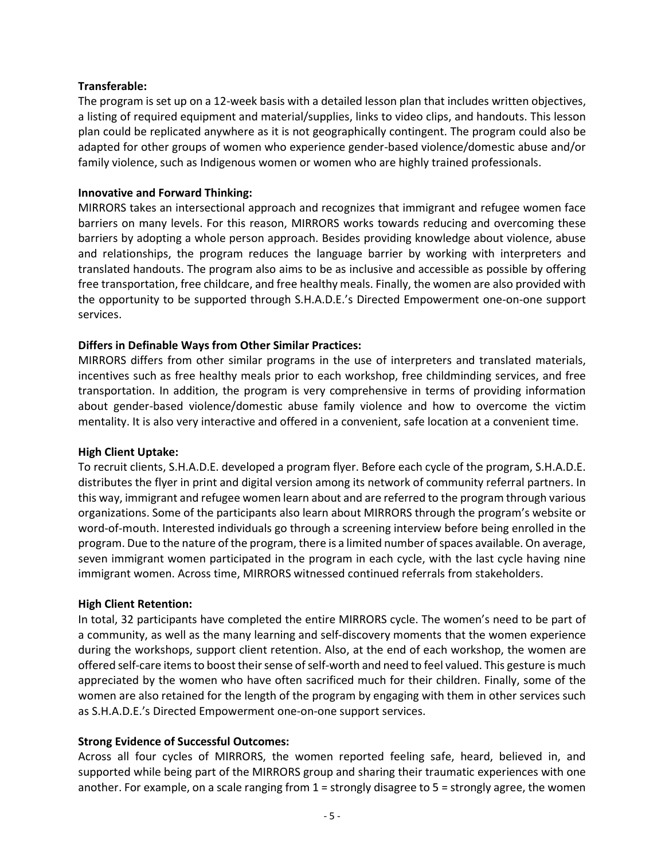#### Transferable:

The program is set up on a 12-week basis with a detailed lesson plan that includes written objectives, a listing of required equipment and material/supplies, links to video clips, and handouts. This lesson plan could be replicated anywhere as it is not geographically contingent. The program could also be adapted for other groups of women who experience gender-based violence/domestic abuse and/or family violence, such as Indigenous women or women who are highly trained professionals.

#### Innovative and Forward Thinking:

MIRRORS takes an intersectional approach and recognizes that immigrant and refugee women face barriers on many levels. For this reason, MIRRORS works towards reducing and overcoming these barriers by adopting a whole person approach. Besides providing knowledge about violence, abuse and relationships, the program reduces the language barrier by working with interpreters and translated handouts. The program also aims to be as inclusive and accessible as possible by offering free transportation, free childcare, and free healthy meals. Finally, the women are also provided with the opportunity to be supported through S.H.A.D.E.'s Directed Empowerment one-on-one support services.

## Differs in Definable Ways from Other Similar Practices:

MIRRORS differs from other similar programs in the use of interpreters and translated materials, incentives such as free healthy meals prior to each workshop, free childminding services, and free transportation. In addition, the program is very comprehensive in terms of providing information about gender-based violence/domestic abuse family violence and how to overcome the victim mentality. It is also very interactive and offered in a convenient, safe location at a convenient time.

#### High Client Uptake:

To recruit clients, S.H.A.D.E. developed a program flyer. Before each cycle of the program, S.H.A.D.E. distributes the flyer in print and digital version among its network of community referral partners. In this way, immigrant and refugee women learn about and are referred to the program through various organizations. Some of the participants also learn about MIRRORS through the program's website or word-of-mouth. Interested individuals go through a screening interview before being enrolled in the program. Due to the nature of the program, there is a limited number of spaces available. On average, seven immigrant women participated in the program in each cycle, with the last cycle having nine immigrant women. Across time, MIRRORS witnessed continued referrals from stakeholders.

#### High Client Retention:

In total, 32 participants have completed the entire MIRRORS cycle. The women's need to be part of a community, as well as the many learning and self-discovery moments that the women experience during the workshops, support client retention. Also, at the end of each workshop, the women are offered self-care items to boost their sense of self-worth and need to feel valued. This gesture is much appreciated by the women who have often sacrificed much for their children. Finally, some of the women are also retained for the length of the program by engaging with them in other services such as S.H.A.D.E.'s Directed Empowerment one-on-one support services.

## Strong Evidence of Successful Outcomes:

Across all four cycles of MIRRORS, the women reported feeling safe, heard, believed in, and supported while being part of the MIRRORS group and sharing their traumatic experiences with one another. For example, on a scale ranging from 1 = strongly disagree to 5 = strongly agree, the women